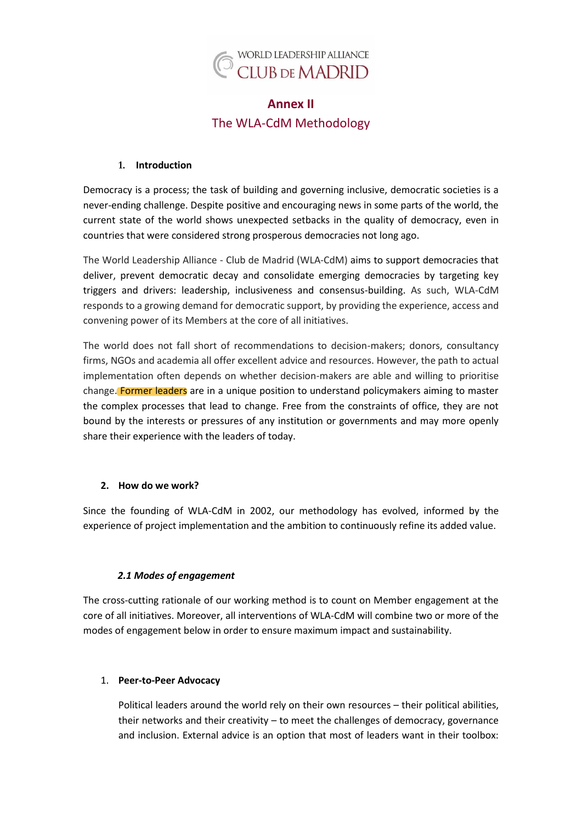

# **Annex II** The WLA-CdM Methodology

## **1. Introduction**

Democracy is a process; the task of building and governing inclusive, democratic societies is a never-ending challenge. Despite positive and encouraging news in some parts of the world, the current state of the world shows unexpected setbacks in the quality of democracy, even in countries that were considered strong prosperous democracies not long ago.

The World Leadership Alliance - Club de Madrid (WLA-CdM) aims to support democracies that deliver, prevent democratic decay and consolidate emerging democracies by targeting key triggers and drivers: leadership, inclusiveness and consensus-building. As such, WLA-CdM responds to a growing demand for democratic support, by providing the experience, access and convening power of its Members at the core of all initiatives.

The world does not fall short of recommendations to decision-makers; donors, consultancy firms, NGOs and academia all offer excellent advice and resources. However, the path to actual implementation often depends on whether decision-makers are able and willing to prioritise change. Former leaders are in a unique position to understand policymakers aiming to master the complex processes that lead to change. Free from the constraints of office, they are not bound by the interests or pressures of any institution or governments and may more openly share their experience with the leaders of today.

# **2. How do we work?**

Since the founding of WLA-CdM in 2002, our methodology has evolved, informed by the experience of project implementation and the ambition to continuously refine its added value.

# *2.1 Modes of engagement*

The cross-cutting rationale of our working method is to count on Member engagement at the core of all initiatives. Moreover, all interventions of WLA-CdM will combine two or more of the modes of engagement below in order to ensure maximum impact and sustainability.

#### 1. **Peer-to-Peer Advocacy**

Political leaders around the world rely on their own resources – their political abilities, their networks and their creativity – to meet the challenges of democracy, governance and inclusion. External advice is an option that most of leaders want in their toolbox: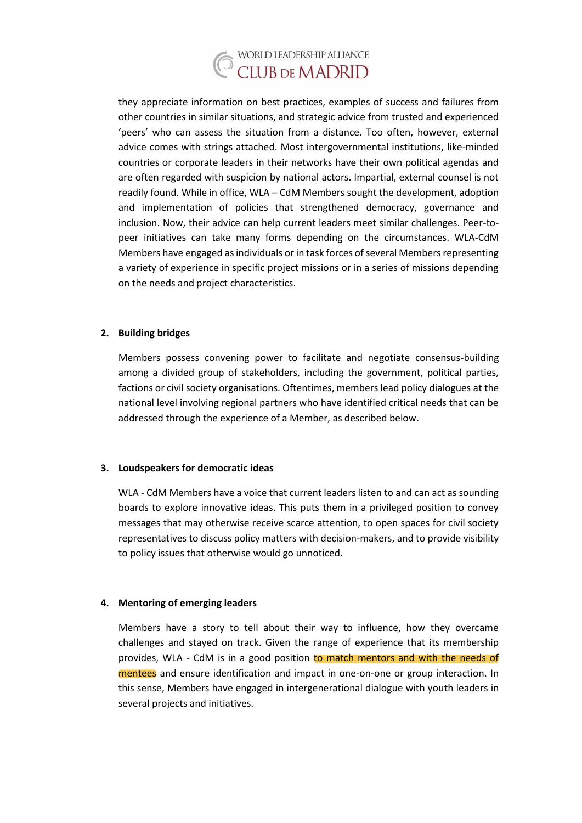

they appreciate information on best practices, examples of success and failures from other countries in similar situations, and strategic advice from trusted and experienced 'peers' who can assess the situation from a distance. Too often, however, external advice comes with strings attached. Most intergovernmental institutions, like-minded countries or corporate leaders in their networks have their own political agendas and are often regarded with suspicion by national actors. Impartial, external counsel is not readily found. While in office, WLA – CdM Members sought the development, adoption and implementation of policies that strengthened democracy, governance and inclusion. Now, their advice can help current leaders meet similar challenges. Peer-topeer initiatives can take many forms depending on the circumstances. WLA-CdM Members have engaged as individuals or in task forces of several Members representing a variety of experience in specific project missions or in a series of missions depending on the needs and project characteristics.

## **2. Building bridges**

Members possess convening power to facilitate and negotiate consensus-building among a divided group of stakeholders, including the government, political parties, factions or civil society organisations. Oftentimes, members lead policy dialogues at the national level involving regional partners who have identified critical needs that can be addressed through the experience of a Member, as described below.

#### **3. Loudspeakers for democratic ideas**

WLA - CdM Members have a voice that current leaders listen to and can act as sounding boards to explore innovative ideas. This puts them in a privileged position to convey messages that may otherwise receive scarce attention, to open spaces for civil society representatives to discuss policy matters with decision-makers, and to provide visibility to policy issues that otherwise would go unnoticed.

#### **4. Mentoring of emerging leaders**

Members have a story to tell about their way to influence, how they overcame challenges and stayed on track. Given the range of experience that its membership provides, WLA - CdM is in a good position to match mentors and with the needs of mentees and ensure identification and impact in one-on-one or group interaction. In this sense, Members have engaged in intergenerational dialogue with youth leaders in several projects and initiatives.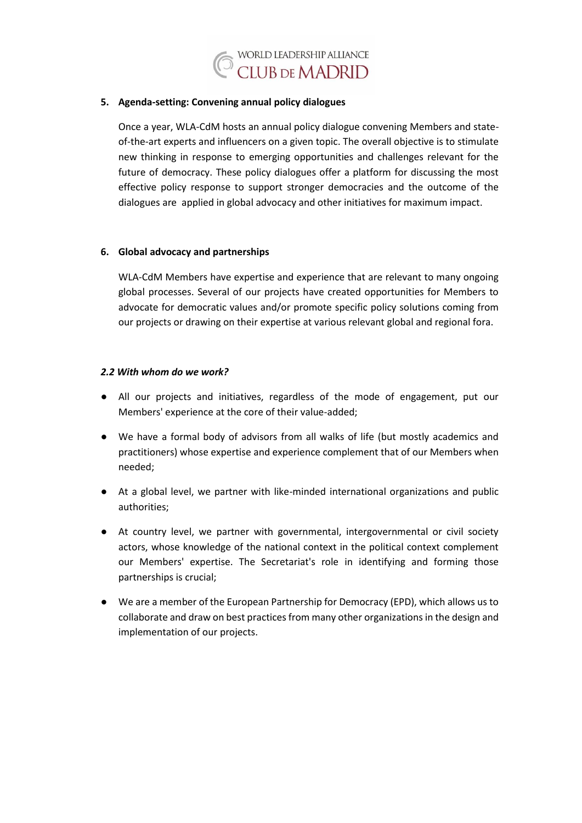

#### **5. Agenda-setting: Convening annual policy dialogues**

Once a year, WLA-CdM hosts an annual policy dialogue convening Members and stateof-the-art experts and influencers on a given topic. The overall objective is to stimulate new thinking in response to emerging opportunities and challenges relevant for the future of democracy. These policy dialogues offer a platform for discussing the most effective policy response to support stronger democracies and the outcome of the dialogues are applied in global advocacy and other initiatives for maximum impact.

#### **6. Global advocacy and partnerships**

WLA-CdM Members have expertise and experience that are relevant to many ongoing global processes. Several of our projects have created opportunities for Members to advocate for democratic values and/or promote specific policy solutions coming from our projects or drawing on their expertise at various relevant global and regional fora.

#### *2.2 With whom do we work?*

- All our projects and initiatives, regardless of the mode of engagement, put our Members' experience at the core of their value-added;
- We have a formal body of advisors from all walks of life (but mostly academics and practitioners) whose expertise and experience complement that of our Members when needed;
- At a global level, we partner with like-minded international organizations and public authorities;
- At country level, we partner with governmental, intergovernmental or civil society actors, whose knowledge of the national context in the political context complement our Members' expertise. The Secretariat's role in identifying and forming those partnerships is crucial;
- We are a member of the European Partnership for Democracy (EPD), which allows us to collaborate and draw on best practices from many other organizations in the design and implementation of our projects.